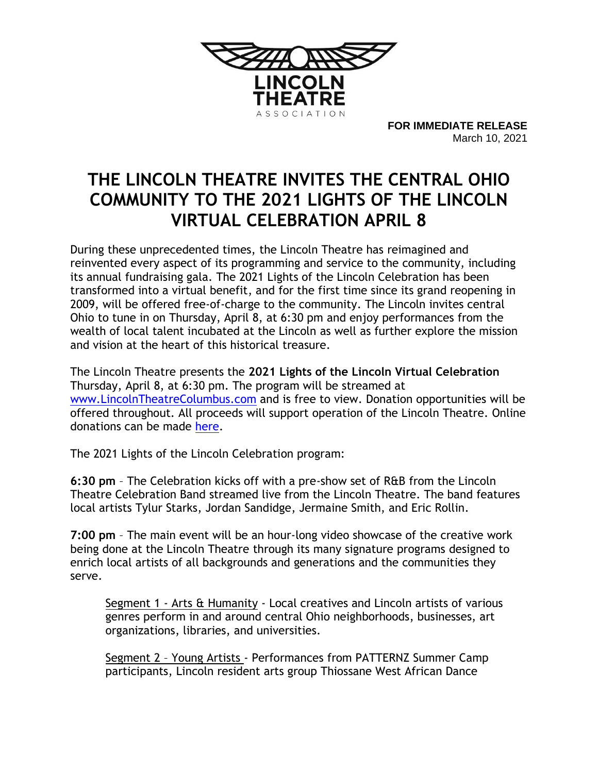

**FOR IMMEDIATE RELEASE** March 10, 2021

## **THE LINCOLN THEATRE INVITES THE CENTRAL OHIO COMMUNITY TO THE 2021 LIGHTS OF THE LINCOLN VIRTUAL CELEBRATION APRIL 8**

During these unprecedented times, the Lincoln Theatre has reimagined and reinvented every aspect of its programming and service to the community, including its annual fundraising gala. The 2021 Lights of the Lincoln Celebration has been transformed into a virtual benefit, and for the first time since its grand reopening in 2009, will be offered free-of-charge to the community. The Lincoln invites central Ohio to tune in on Thursday, April 8, at 6:30 pm and enjoy performances from the wealth of local talent incubated at the Lincoln as well as further explore the mission and vision at the heart of this historical treasure.

The Lincoln Theatre presents the **2021 Lights of the Lincoln Virtual Celebration** Thursday, April 8, at 6:30 pm. The program will be streamed at [www.LincolnTheatreColumbus.com](http://www.lincolntheatrecolumbus.com/) and is free to view. Donation opportunities will be offered throughout. All proceeds will support operation of the Lincoln Theatre. Online donations can be made [here.](https://secure.qgiv.com/for/lta)

The 2021 Lights of the Lincoln Celebration program:

**6:30 pm** – The Celebration kicks off with a pre-show set of R&B from the Lincoln Theatre Celebration Band streamed live from the Lincoln Theatre. The band features local artists Tylur Starks, Jordan Sandidge, Jermaine Smith, and Eric Rollin.

**7:00 pm** – The main event will be an hour-long video showcase of the creative work being done at the Lincoln Theatre through its many signature programs designed to enrich local artists of all backgrounds and generations and the communities they serve.

Segment 1 - Arts & Humanity - Local creatives and Lincoln artists of various genres perform in and around central Ohio neighborhoods, businesses, art organizations, libraries, and universities.

Segment 2 - Young Artists - Performances from PATTERNZ Summer Camp participants, Lincoln resident arts group Thiossane West African Dance